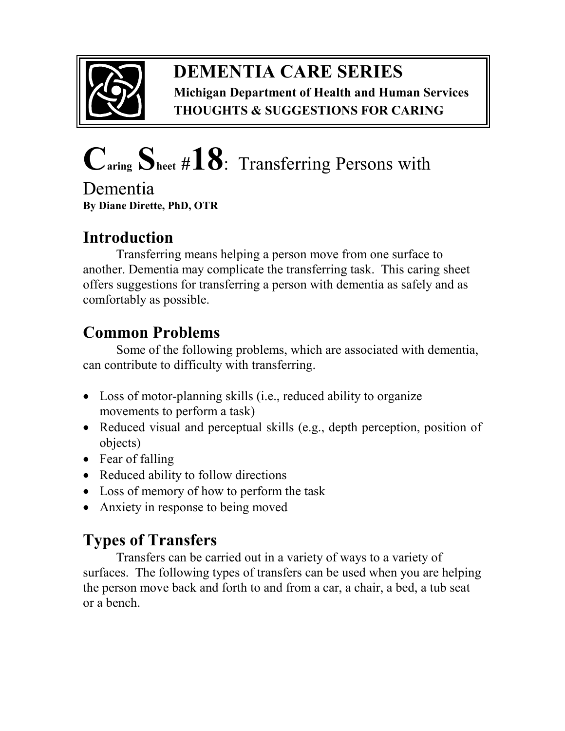

## **DEMENTIA CARE SERIES Michigan Department of Health and Human Services THOUGHTS & SUGGESTIONS FOR CARING**

# **Caring Sheet #18**:Transferring Persons with

Dementia **By Diane Dirette, PhD, OTR** 

# **Introduction**

Transferring means helping a person move from one surface to another. Dementia may complicate the transferring task. This caring sheet offers suggestions for transferring a person with dementia as safely and as comfortably as possible.

# **Common Problems**

Some of the following problems, which are associated with dementia, can contribute to difficulty with transferring.

- Loss of motor-planning skills (*i.e.*, reduced ability to organize movements to perform a task)
- Reduced visual and perceptual skills (e.g., depth perception, position of objects)
- Fear of falling
- Reduced ability to follow directions
- Loss of memory of how to perform the task
- Anxiety in response to being moved

## **Types of Transfers**

Transfers can be carried out in a variety of ways to a variety of surfaces. The following types of transfers can be used when you are helping the person move back and forth to and from a car, a chair, a bed, a tub seat or a bench.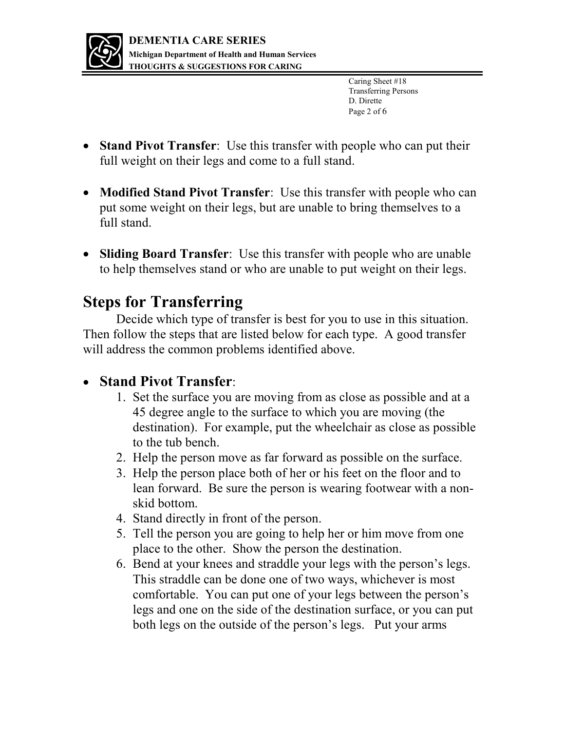

Caring Sheet #18 Transferring Persons D. Dirette Page 2 of 6

- **Stand Pivot Transfer**: Use this transfer with people who can put their full weight on their legs and come to a full stand.
- **Modified Stand Pivot Transfer**: Use this transfer with people who can put some weight on their legs, but are unable to bring themselves to a full stand.
- **Sliding Board Transfer**: Use this transfer with people who are unable to help themselves stand or who are unable to put weight on their legs.

## **Steps for Transferring**

 Decide which type of transfer is best for you to use in this situation. Then follow the steps that are listed below for each type. A good transfer will address the common problems identified above.

### **Stand Pivot Transfer**:

- 1. Set the surface you are moving from as close as possible and at a 45 degree angle to the surface to which you are moving (the destination). For example, put the wheelchair as close as possible to the tub bench.
- 2. Help the person move as far forward as possible on the surface.
- 3. Help the person place both of her or his feet on the floor and to lean forward. Be sure the person is wearing footwear with a nonskid bottom.
- 4. Stand directly in front of the person.
- 5. Tell the person you are going to help her or him move from one place to the other. Show the person the destination.
- 6. Bend at your knees and straddle your legs with the person's legs. This straddle can be done one of two ways, whichever is most comfortable. You can put one of your legs between the person's legs and one on the side of the destination surface, or you can put both legs on the outside of the person's legs. Put your arms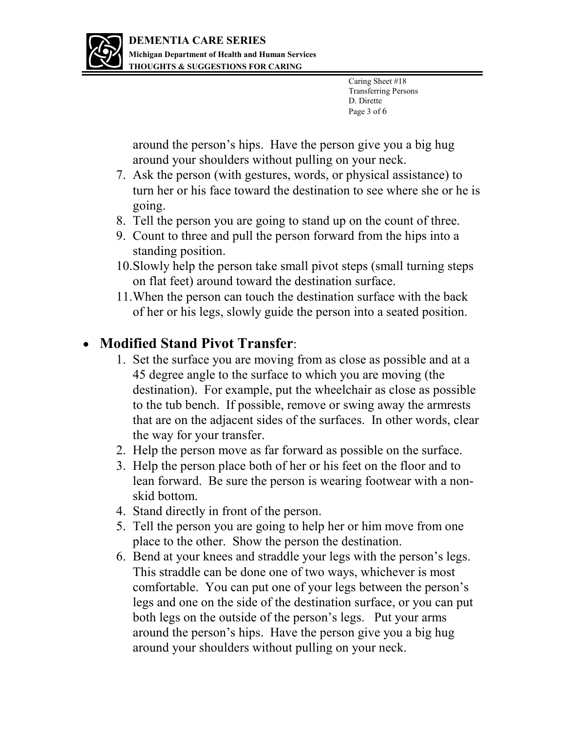

Caring Sheet #18 Transferring Persons D. Dirette Page 3 of 6

around the person's hips. Have the person give you a big hug around your shoulders without pulling on your neck.

- 7. Ask the person (with gestures, words, or physical assistance) to turn her or his face toward the destination to see where she or he is going.
- 8. Tell the person you are going to stand up on the count of three.
- 9. Count to three and pull the person forward from the hips into a standing position.
- 10.Slowly help the person take small pivot steps (small turning steps on flat feet) around toward the destination surface.
- 11.When the person can touch the destination surface with the back of her or his legs, slowly guide the person into a seated position.

## **Modified Stand Pivot Transfer**:

- 1. Set the surface you are moving from as close as possible and at a 45 degree angle to the surface to which you are moving (the destination). For example, put the wheelchair as close as possible to the tub bench. If possible, remove or swing away the armrests that are on the adjacent sides of the surfaces. In other words, clear the way for your transfer.
- 2. Help the person move as far forward as possible on the surface.
- 3. Help the person place both of her or his feet on the floor and to lean forward. Be sure the person is wearing footwear with a nonskid bottom.
- 4. Stand directly in front of the person.
- 5. Tell the person you are going to help her or him move from one place to the other. Show the person the destination.
- 6. Bend at your knees and straddle your legs with the person's legs. This straddle can be done one of two ways, whichever is most comfortable. You can put one of your legs between the person's legs and one on the side of the destination surface, or you can put both legs on the outside of the person's legs. Put your arms around the person's hips. Have the person give you a big hug around your shoulders without pulling on your neck.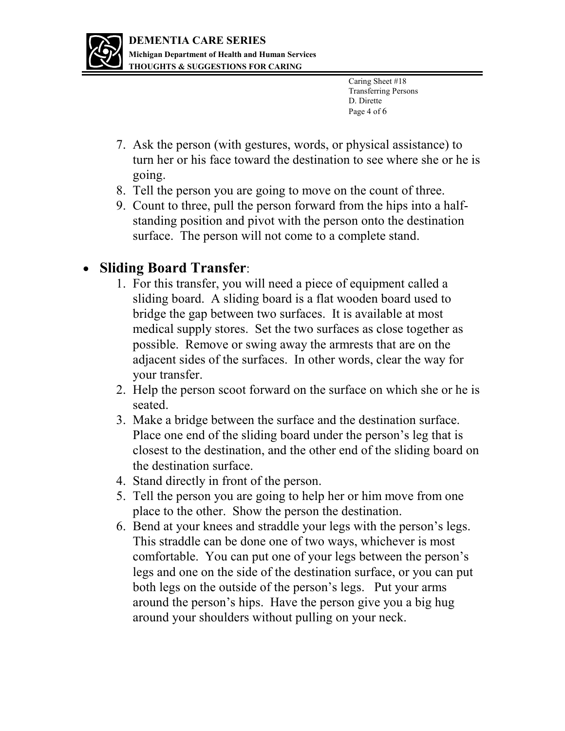

Caring Sheet #18 Transferring Persons D. Dirette Page 4 of 6

- 7. Ask the person (with gestures, words, or physical assistance) to turn her or his face toward the destination to see where she or he is going.
- 8. Tell the person you are going to move on the count of three.
- 9. Count to three, pull the person forward from the hips into a halfstanding position and pivot with the person onto the destination surface. The person will not come to a complete stand.

## **Sliding Board Transfer**:

- 1. For this transfer, you will need a piece of equipment called a sliding board. A sliding board is a flat wooden board used to bridge the gap between two surfaces. It is available at most medical supply stores. Set the two surfaces as close together as possible. Remove or swing away the armrests that are on the adjacent sides of the surfaces. In other words, clear the way for your transfer.
- 2. Help the person scoot forward on the surface on which she or he is seated.
- 3. Make a bridge between the surface and the destination surface. Place one end of the sliding board under the person's leg that is closest to the destination, and the other end of the sliding board on the destination surface.
- 4. Stand directly in front of the person.
- 5. Tell the person you are going to help her or him move from one place to the other. Show the person the destination.
- 6. Bend at your knees and straddle your legs with the person's legs. This straddle can be done one of two ways, whichever is most comfortable. You can put one of your legs between the person's legs and one on the side of the destination surface, or you can put both legs on the outside of the person's legs. Put your arms around the person's hips. Have the person give you a big hug around your shoulders without pulling on your neck.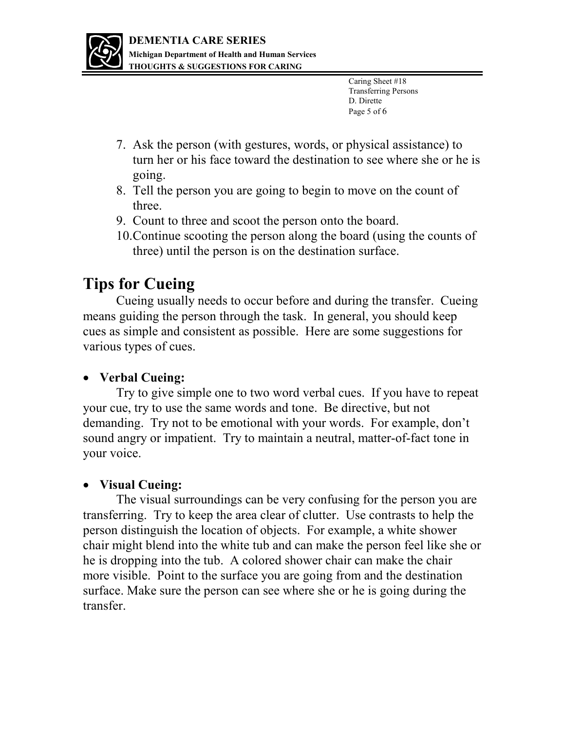

- 7. Ask the person (with gestures, words, or physical assistance) to turn her or his face toward the destination to see where she or he is going.
- 8. Tell the person you are going to begin to move on the count of three.
- 9. Count to three and scoot the person onto the board.
- 10.Continue scooting the person along the board (using the counts of three) until the person is on the destination surface.

## **Tips for Cueing**

 Cueing usually needs to occur before and during the transfer. Cueing means guiding the person through the task. In general, you should keep cues as simple and consistent as possible. Here are some suggestions for various types of cues.

#### **Verbal Cueing:**

 Try to give simple one to two word verbal cues. If you have to repeat your cue, try to use the same words and tone. Be directive, but not demanding. Try not to be emotional with your words. For example, don't sound angry or impatient. Try to maintain a neutral, matter-of-fact tone in your voice.

#### **Visual Cueing:**

 The visual surroundings can be very confusing for the person you are transferring. Try to keep the area clear of clutter. Use contrasts to help the person distinguish the location of objects. For example, a white shower chair might blend into the white tub and can make the person feel like she or he is dropping into the tub. A colored shower chair can make the chair more visible. Point to the surface you are going from and the destination surface. Make sure the person can see where she or he is going during the transfer.